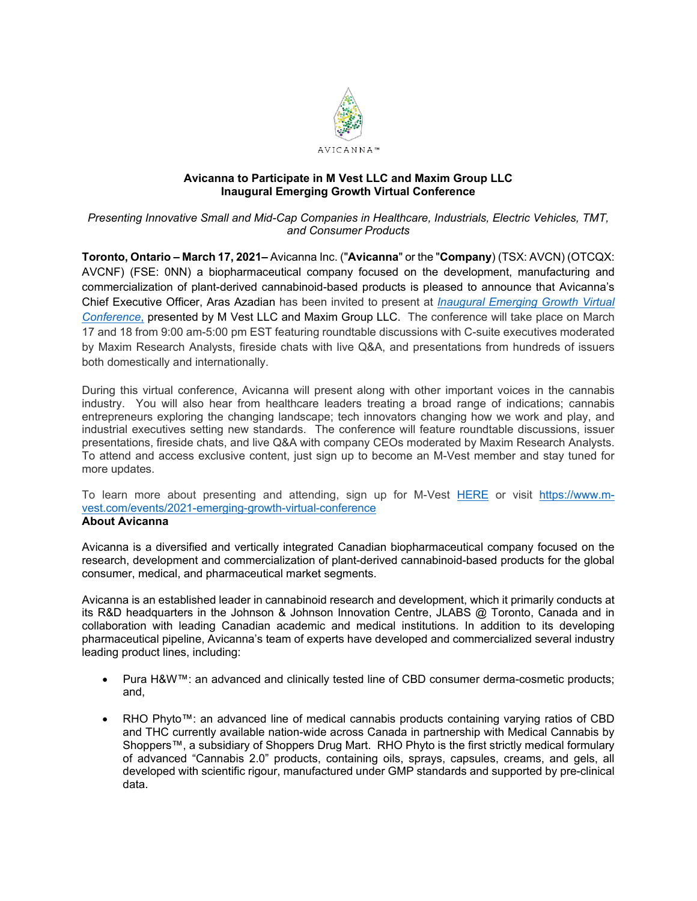

## **Avicanna to Participate in M Vest LLC and Maxim Group LLC Inaugural Emerging Growth Virtual Conference**

## *Presenting Innovative Small and Mid-Cap Companies in Healthcare, Industrials, Electric Vehicles, TMT, and Consumer Products*

**Toronto, Ontario – March 17, 2021–** Avicanna Inc. ("**Avicanna**" or the "**Company**) (TSX: AVCN) (OTCQX: AVCNF) (FSE: 0NN) a biopharmaceutical company focused on the development, manufacturing and commercialization of plant-derived cannabinoid-based products is pleased to announce that Avicanna's Chief Executive Officer, Aras Azadian has been invited to present at *[Inaugural Emerging Growth Virtual](https://www.m-vest.com/events/2021-emerging-growth-virtual-conference)  [Conference](https://www.m-vest.com/events/2021-emerging-growth-virtual-conference)*, presented by M Vest LLC and Maxim Group LLC. The conference will take place on March 17 and 18 from 9:00 am-5:00 pm EST featuring roundtable discussions with C-suite executives moderated by Maxim Research Analysts, fireside chats with live Q&A, and presentations from hundreds of issuers both domestically and internationally.

During this virtual conference, Avicanna will present along with other important voices in the cannabis industry. You will also hear from healthcare leaders treating a broad range of indications; cannabis entrepreneurs exploring the changing landscape; tech innovators changing how we work and play, and industrial executives setting new standards. The conference will feature roundtable discussions, issuer presentations, fireside chats, and live Q&A with company CEOs moderated by Maxim Research Analysts. To attend and access exclusive content, just sign up to become an M-Vest member and stay tuned for more updates.

To learn more about presenting and attending, sign up for M-Vest [HERE](https://www.m-vest.com/events/2021-emerging-growth-virtual-conference) or visit [https://www.m](https://www.m-vest.com/events/2021-emerging-growth-virtual-conference)[vest.com/events/2021-emerging-growth-virtual-conference](https://www.m-vest.com/events/2021-emerging-growth-virtual-conference)

### **About Avicanna**

Avicanna is a diversified and vertically integrated Canadian biopharmaceutical company focused on the research, development and commercialization of plant-derived cannabinoid-based products for the global consumer, medical, and pharmaceutical market segments.

Avicanna is an established leader in cannabinoid research and development, which it primarily conducts at its R&D headquarters in the Johnson & Johnson Innovation Centre, JLABS @ Toronto, Canada and in collaboration with leading Canadian academic and medical institutions. In addition to its developing pharmaceutical pipeline, Avicanna's team of experts have developed and commercialized several industry leading product lines, including:

- Pura H&W™: an advanced and clinically tested line of CBD consumer derma-cosmetic products; and,
- RHO Phyto™: an advanced line of medical cannabis products containing varying ratios of CBD and THC currently available nation-wide across Canada in partnership with Medical Cannabis by Shoppers™, a subsidiary of Shoppers Drug Mart. RHO Phyto is the first strictly medical formulary of advanced "Cannabis 2.0" products, containing oils, sprays, capsules, creams, and gels, all developed with scientific rigour, manufactured under GMP standards and supported by pre-clinical data.